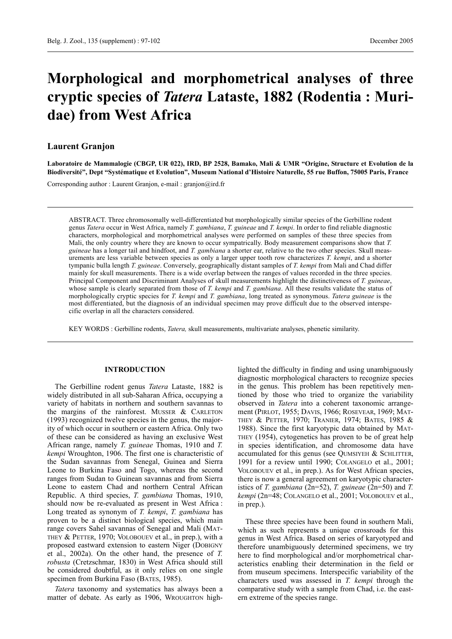# **Morphological and morphometrical analyses of three cryptic species of** *Tatera* **Lataste, 1882 (Rodentia : Muridae) from West Africa**

## **Laurent Granjon**

**Laboratoire de Mammalogie (CBGP, UR 022), IRD, BP 2528, Bamako, Mali & UMR "Origine, Structure et Evolution de la Biodiversité", Dept "Systématique et Evolution", Museum National d'Histoire Naturelle, 55 rue Buffon, 75005 Paris, France**

Corresponding author : Laurent Granjon, e-mail : granjon@ird.fr

ABSTRACT. Three chromosomally well-differentiated but morphologically similar species of the Gerbilline rodent genus *Tatera* occur in West Africa, namely *T. gambiana*, *T. guineae* and *T. kempi*. In order to find reliable diagnostic characters, morphological and morphometrical analyses were performed on samples of these three species from Mali, the only country where they are known to occur sympatrically. Body measurement comparisons show that *T. guineae* has a longer tail and hindfoot, and *T. gambiana* a shorter ear, relative to the two other species. Skull measurements are less variable between species as only a larger upper tooth row characterizes *T. kempi*, and a shorter tympanic bulla length *T. guineae*. Conversely, geographically distant samples of *T. kempi* from Mali and Chad differ mainly for skull measurements. There is a wide overlap between the ranges of values recorded in the three species. Principal Component and Discriminant Analyses of skull measurements highlight the distinctiveness of *T. guineae*, whose sample is clearly separated from those of *T. kempi* and *T. gambiana*. All these results validate the status of morphologically cryptic species for *T. kempi* and *T. gambiana*, long treated as synonymous. *Tatera guineae* is the most differentiated, but the diagnosis of an individual specimen may prove difficult due to the observed interspecific overlap in all the characters considered.

KEY WORDS : Gerbilline rodents, *Tatera,* skull measurements, multivariate analyses, phenetic similarity.

### **INTRODUCTION**

The Gerbilline rodent genus *Tatera* Lataste, 1882 is widely distributed in all sub-Saharan Africa, occupying a variety of habitats in northern and southern savannas to the margins of the rainforest. MUSSER & CARLETON (1993) recognized twelve species in the genus, the majority of which occur in southern or eastern Africa. Only two of these can be considered as having an exclusive West African range, namely *T. guineae* Thomas, 1910 and *T. kempi* Wroughton, 1906. The first one is characteristic of the Sudan savannas from Senegal, Guinea and Sierra Leone to Burkina Faso and Togo, whereas the second ranges from Sudan to Guinean savannas and from Sierra Leone to eastern Chad and northern Central African Republic. A third species, *T. gambiana* Thomas, 1910, should now be re-evaluated as present in West Africa : Long treated as synonym of *T. kempi*, *T. gambiana* has proven to be a distinct biological species, which main range covers Sahel savannas of Senegal and Mali (MAT-THEY & PETTER, 1970; VOLOBOUEV et al., in prep.), with a proposed eastward extension to eastern Niger (DOBIGNY et al., 2002a). On the other hand, the presence of *T. robusta* (Cretzschmar, 1830) in West Africa should still be considered doubtful, as it only relies on one single specimen from Burkina Faso (BATES, 1985).

*Tatera* taxonomy and systematics has always been a matter of debate. As early as 1906, WROUGHTON highlighted the difficulty in finding and using unambiguously diagnostic morphological characters to recognize species in the genus. This problem has been repetitively mentioned by those who tried to organize the variability observed in *Tatera* into a coherent taxonomic arrangement (PIRLOT, 1955; DAVIS, 1966; ROSEVEAR, 1969; MAT-THEY & PETTER, 1970; TRANIER, 1974; BATES, 1985 & 1988). Since the first karyotypic data obtained by MAT-THEY (1954), cytogenetics has proven to be of great help in species identification, and chromosome data have accumulated for this genus (see QUMSIYEH & SCHLITTER, 1991 for a review until 1990; COLANGELO et al., 2001; VOLOBOUEV et al., in prep.). As for West African species, there is now a general agreement on karyotypic characteristics of *T. gambiana* (2n=52), *T. guineae* (2n=50) and *T. kempi* (2n=48; COLANGELO et al., 2001; VOLOBOUEV et al., in prep.).

These three species have been found in southern Mali, which as such represents a unique crossroads for this genus in West Africa. Based on series of karyotyped and therefore unambiguously determined specimens, we try here to find morphological and/or morphometrical characteristics enabling their determination in the field or from museum specimens. Interspecific variability of the characters used was assessed in *T. kempi* through the comparative study with a sample from Chad, i.e. the eastern extreme of the species range.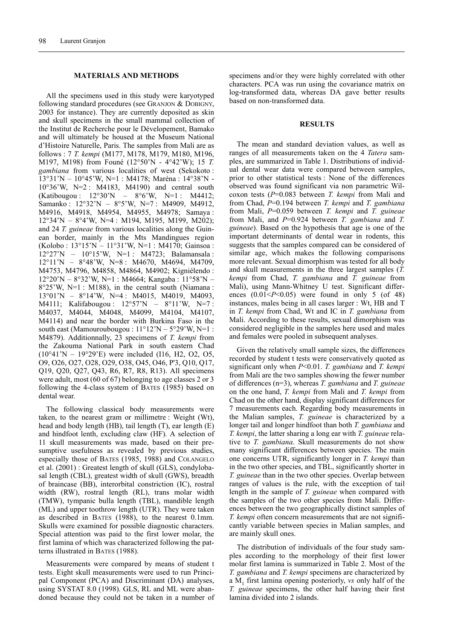#### **MATERIALS AND METHODS**

All the specimens used in this study were karyotyped following standard procedures (see GRANJON & DOBIGNY, 2003 for instance). They are currently deposited as skin and skull specimens in the small mammal collection of the Institut de Recherche pour le Dévelopement, Bamako and will ultimately be housed at the Museum National d'Histoire Naturelle, Paris. The samples from Mali are as follows : 7 *T. kempi* (M177, M178, M179, M180, M196, M197, M198) from Founé (12°50'N - 4°42'W); 15 *T. gambiana* from various localities of west (Sekokoto : 13°31'N – 10°45'W, N=1 : M4178; Maréna : 14°38'N - 10°36'W, N=2 : M4183, M4190) and central south (Katibougou : 12°30'N – 8°6'W, N=1 : M4412; Samanko : 12°32'N – 8°5'W, N=7 : M4909, M4912, M4916, M4918, M4954, M4955, M4978; Samaya : 12°34'N – 8°4'W, N=4 : M194, M195, M199, M202); and 24 *T. guineae* from various localities along the Guinean border, mainly in the Mts Mandingues region (Kolobo : 13°15'N – 11°31'W, N=1 : M4170; Gainsoa : 12°27'N – 10°15'W, N=1 : M4723; Balamansala : 12°11'N – 8°48'W, N=8 : M4670, M4694, M4709, M4753, M4796, M4858, M4864, M4902; Kigniélendo : 12°20'N – 8°32'W, N=1 : M4664; Kangaba : 11°58'N – 8°25'W, N=1 : M188), in the central south (Niamana : 13°01'N – 8°14'W, N=4 : M4015, M4019, M4093, M4111; Kalifabougou : 12°57'N – 8°11'W, N=7 : M4037, M4044, M4048, M4099, M4104, M4107, M4114) and near the border with Burkina Faso in the south east (Mamouroubougou :  $11^{\circ}12^{\prime}N - 5^{\circ}29^{\prime}W$ , N=1 : M4879). Additionnally, 23 specimens of *T. kempi* from the Zakouma National Park in south eastern Chad (10°41'N – 19°29'E) were included (I16, H2, O2, O5, O9, O26, O27, O28, O29, O38, O45, O46, P'3, Q10, Q17, Q19, Q20, Q27, Q43, R6, R7, R8, R13). All specimens were adult, most (60 of 67) belonging to age classes 2 or 3 following the 4-class system of BATES (1985) based on dental wear.

The following classical body measurements were taken, to the nearest gram or millimetre : Weight (Wt), head and body length (HB), tail length (T), ear length (E) and hindfoot lenth, excluding claw (HF). A selection of 11 skull measurements was made, based on their presumptive usefulness as revealed by previous studies, especially those of BATES (1985, 1988) and COLANGELO et al. (2001) : Greatest length of skull (GLS), condylobasal length (CBL), greatest width of skull (GWS), breadth of braincase (BB), interorbital constriction (IC), rostral width (RW), rostral length (RL), trans molar width (TMW), tympanic bulla length (TBL), mandible length (ML) and upper toothrow length (UTR). They were taken as described in BATES (1988), to the nearest 0.1mm. Skulls were examined for possible diagnostic characters. Special attention was paid to the first lower molar, the first lamina of which was characterized following the patterns illustrated in BATES (1988).

Measurements were compared by means of student t tests. Eight skull measurements were used to run Principal Component (PCA) and Discriminant (DA) analyses, using SYSTAT 8.0 (1998). GLS, RL and ML were abandoned because they could not be taken in a number of specimens and/or they were highly correlated with other characters. PCA was run using the covariance matrix on log-transformed data, whereas DA gave better results based on non-transformed data.

#### **RESULTS**

The mean and standard deviation values, as well as ranges of all measurements taken on the 4 *Tatera* samples, are summarized in Table 1. Distributions of individual dental wear data were compared between samples, prior to other statistical tests : None of the differences observed was found significant via non parametric Wilcoxon tests (*P*=0.083 between *T. kempi* from Mali and from Chad, *P*=0.194 between *T. kempi* and *T. gambiana* from Mali, *P*=0.059 between *T. kempi* and *T. guineae* from Mali, and *P*=0.924 between *T. gambiana* and *T. guineae*). Based on the hypothesis that age is one of the important determinants of dental wear in rodents, this suggests that the samples compared can be considered of similar age, which makes the following comparisons more relevant. Sexual dimorphism was tested for all body and skull measurements in the three largest samples (*T. kempi* from Chad, *T. gambiana* and *T. guineae* from Mali), using Mann-Whitney U test. Significant differences  $(0.01 < P < 0.05)$  were found in only 5 (of 48) instances, males being in all cases larger : Wt, HB and T in *T. kempi* from Chad, Wt and IC in *T. gambiana* from Mali. According to these results, sexual dimorphism was considered negligible in the samples here used and males and females were pooled in subsequent analyses.

Given the relatively small sample sizes, the differences recorded by student t tests were conservatively quoted as significant only when *P*<0.01. *T. gambiana* and *T. kempi* from Mali are the two samples showing the fewer number of differences (n=3), whereas *T. gambiana* and *T. guineae* on the one hand, *T. kempi* from Mali and *T. kempi* from Chad on the other hand, display significant differences for 7 measurements each. Regarding body measurements in the Malian samples, *T. guineae* is characterized by a longer tail and longer hindfoot than both *T. gambiana* and *T. kempi*, the latter sharing a long ear with *T. guineae* relative to *T. gambiana*. Skull measurements do not show many significant differences between species. The main one concerns UTR, significantly longer in *T. kempi* than in the two other species, and TBL, significantly shorter in *T. guineae* than in the two other species. Overlap between ranges of values is the rule, with the exception of tail length in the sample of *T. guineae* when compared with the samples of the two other species from Mali. Differences between the two geographically distinct samples of *T. kempi* often concern measurements that are not significantly variable between species in Malian samples, and are mainly skull ones.

The distribution of individuals of the four study samples according to the morphology of their first lower molar first lamina is summarized in Table 2. Most of the *T. gambiana* and *T. kempi* specimens are characterized by a M1 first lamina opening posteriorly, *vs* only half of the *T. guineae* specimens, the other half having their first lamina divided into 2 islands.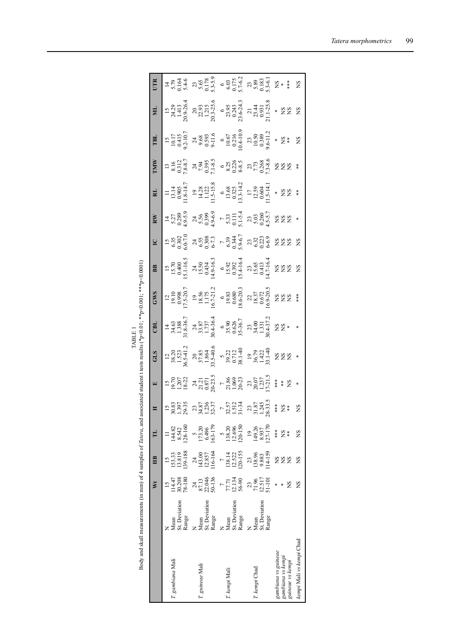|                                                              |                                | ž                                                                                                                                                                                                                                                                                                   | Ê                                                                                                                                                                                                                                                                |                                                                                                                                                                                                                                                                              | $\mathbf{E}$                                                                                                                                                                                                                                                                                          | <b>STE</b> | CBL | <b>GWS</b>                                                                                                                                                                                  | $_{\rm BB}$                                                                                                                                                                                                                                                           | $\overline{\mathsf{C}}$                                                                                                                                                                                                                                                                                       | RW                                                                                                                                                                                                                                                                                                            | <b>IMM</b> | <b>TBL</b>                                                                                                                                                                                                                                                             | ЯĒ, | UTR |
|--------------------------------------------------------------|--------------------------------|-----------------------------------------------------------------------------------------------------------------------------------------------------------------------------------------------------------------------------------------------------------------------------------------------------|------------------------------------------------------------------------------------------------------------------------------------------------------------------------------------------------------------------------------------------------------------------|------------------------------------------------------------------------------------------------------------------------------------------------------------------------------------------------------------------------------------------------------------------------------|-------------------------------------------------------------------------------------------------------------------------------------------------------------------------------------------------------------------------------------------------------------------------------------------------------|------------|-----|---------------------------------------------------------------------------------------------------------------------------------------------------------------------------------------------|-----------------------------------------------------------------------------------------------------------------------------------------------------------------------------------------------------------------------------------------------------------------------|---------------------------------------------------------------------------------------------------------------------------------------------------------------------------------------------------------------------------------------------------------------------------------------------------------------|---------------------------------------------------------------------------------------------------------------------------------------------------------------------------------------------------------------------------------------------------------------------------------------------------------------|------------|------------------------------------------------------------------------------------------------------------------------------------------------------------------------------------------------------------------------------------------------------------------------|-----|-----|
| ". gambiana Mali                                             | Mean<br>St. Deviation<br>Range |                                                                                                                                                                                                                                                                                                     |                                                                                                                                                                                                                                                                  |                                                                                                                                                                                                                                                                              |                                                                                                                                                                                                                                                                                                       |            |     |                                                                                                                                                                                             |                                                                                                                                                                                                                                                                       |                                                                                                                                                                                                                                                                                                               |                                                                                                                                                                                                                                                                                                               |            |                                                                                                                                                                                                                                                                        |     |     |
| guineae Mali                                                 | Mean<br>St. Deviation<br>Range | $\begin{array}{r} 15 \\ 114.47 \\ 30.208 \\ 78.13 \\ 87.13 \\ 87.13 \\ 56.136 \\ 77.71 \\ 77.71 \\ 77.71 \\ 12.134 \\ 56.90 \\ 77.81 \\ 71.51 \\ 71.51 \\ 71.51 \\ 71.51 \\ 71.51 \\ 71.51 \\ 71.51 \\ 71.51 \\ 71.51 \\ 71.51 \\ 71.51 \\ 71.51 \\ 71.51 \\ 71.51 \\ 71.51 \\ 71.51 \\ 71.51 \\ 7$ |                                                                                                                                                                                                                                                                  |                                                                                                                                                                                                                                                                              |                                                                                                                                                                                                                                                                                                       |            |     |                                                                                                                                                                                             |                                                                                                                                                                                                                                                                       |                                                                                                                                                                                                                                                                                                               |                                                                                                                                                                                                                                                                                                               |            |                                                                                                                                                                                                                                                                        |     |     |
| . kempi Mali                                                 | Mean<br>St. Deviation<br>Range |                                                                                                                                                                                                                                                                                                     |                                                                                                                                                                                                                                                                  |                                                                                                                                                                                                                                                                              |                                                                                                                                                                                                                                                                                                       |            |     |                                                                                                                                                                                             |                                                                                                                                                                                                                                                                       |                                                                                                                                                                                                                                                                                                               |                                                                                                                                                                                                                                                                                                               |            |                                                                                                                                                                                                                                                                        |     |     |
| : kempi Chad                                                 | St. Deviation<br>Range<br>Aean |                                                                                                                                                                                                                                                                                                     | $\begin{array}{r} 15\\ 153.33\\ 113.819\\ 138.9\\ 124.8\\ 124.8\\ 114.30\\ 116.167\\ 116.857\\ 116.857\\ 116.857\\ 118.81\\ 114.159\\ 118.89\\ 9.883\\ 114.159\\ 114.159\\ 114.159\\ 114.159\\ 114.159\\ 114.159\\ 114.159\\ 114.159\\ 114.159\\ 114.159\\ 114.$ | $\begin{array}{l} 11\\ 14482\\ 13542\\ 13646\\ 6496\\ 103-179\\ 6496\\ 163-179\\ 5\\ 113820\\ 120\\ 130\\ 14926\\ 127-170\\ 14937\\ 8937\\ 148\\ 8937\\ 148\\ 8937\\ 148\\ 8937\\ 148\\ 8937\\ 148\\ 8937\\ 148\\ 8937\\ 148\\ 89\\ 148\\ 89\\ 148\\ 89\\ 148\\ 89\\ 148\\ $ | $\begin{array}{r} 15 \\ 19.70 \\ 1207 \\ 13.21 \\ 13.22 \\ 13.71 \\ 13.71 \\ 13.71 \\ 13.71 \\ 13.71 \\ 13.71 \\ 13.71 \\ 13.71 \\ 13.71 \\ 13.71 \\ 14.71 \\ 15.71 \\ 16.8 \\ 20.07 \\ 70.07 \\ 12.71 \\ 13.71 \\ 14.71 \\ 15.72 \\ 16.73 \\ 17.71 \\ 18.78 \\ 19.73 \\ 13.73 \\ 14.78 \\ 15.78 \\ $ |            |     | $\begin{array}{r} 12\\19.10\\19.8\\10.520.7\\11.520.7\\11.75\\11.75\\16.721.2\\6.80\\16.620.3\\18.62.03\\8.62.03\\18.837\\18.37\\18.37\\18.57\\18.9\\18.82\\18.8\\20.5\\20.5\\8\end{array}$ | $\begin{array}{r} 15\\ 15,70\\ 15,40\\ 15,40\\ 15,34\\ 15,40\\ 15,40\\ 15,40\\ 15,50\\ 15,50\\ 15,41\\ 15,40\\ 15,41\\ 15,40\\ 15,41\\ 15,40\\ 15,41\\ 15,40\\ 15,41\\ 15,42\\ 15,42\\ 15,42\\ 15,42\\ 15,43\\ 15,44\\ 15,45\\ 15,46\\ 15,47\\ 15,48\\ 15,49\\ 15,40$ | $\begin{array}{l} 15 \\ 0.53 \\ 0.52 \\ 0.53 \\ 0.54 \\ 0.53 \\ 0.53 \\ 0.53 \\ 0.54 \\ 0.53 \\ 0.54 \\ 0.53 \\ 0.53 \\ 0.53 \\ 0.53 \\ 0.53 \\ 0.53 \\ 0.53 \\ 0.53 \\ 0.53 \\ 0.53 \\ 0.53 \\ 0.53 \\ 0.53 \\ 0.53 \\ 0.53 \\ 0.53 \\ 0.53 \\ 0.53 \\ 0.53 \\ 0.53 \\ 0.53 \\ 0.53 \\ 0.53 \\ 0.53 \\ 0.53$ | $\begin{array}{l} 1.77 \\ 1.71 \\ 1.72 \\ 1.73 \\ 1.74 \\ 1.75 \\ 1.75 \\ 1.75 \\ 1.75 \\ 1.75 \\ 1.75 \\ 1.75 \\ 1.75 \\ 1.75 \\ 1.75 \\ 1.75 \\ 1.75 \\ 1.75 \\ 1.75 \\ 1.75 \\ 1.75 \\ 1.75 \\ 1.75 \\ 1.75 \\ 1.75 \\ 1.75 \\ 1.75 \\ 1.75 \\ 1.75 \\ 1.75 \\ 1.75 \\ 1.75 \\ 1.75 \\ 1.75 \\ 1.75 \\ 1.$ |            | $\begin{array}{l} 15\\ 1017\\ 10415\\ 9.63\\ 9.63\\ 9.63\\ 0.593\\ 0.65\\ 0.016\\ 0.016\\ 0.010\\ 0.010\\ 0.010\\ 0.010\\ 0.010\\ 0.010\\ 0.010\\ 0.010\\ 0.011\\ 0.010\\ 0.011\\ 0.010\\ 0.011\\ 0.011\\ 0.011\\ 0.011\\ 0.011\\ 0.011\\ 0.011\\ 0.011\\ 0.011\\ 0.0$ |     |     |
| gambiana vs guineae<br>gambiana vs kempi<br>guineae vs kempi |                                | <b>NS</b>                                                                                                                                                                                                                                                                                           | <b>222</b>                                                                                                                                                                                                                                                       |                                                                                                                                                                                                                                                                              |                                                                                                                                                                                                                                                                                                       |            |     |                                                                                                                                                                                             |                                                                                                                                                                                                                                                                       |                                                                                                                                                                                                                                                                                                               |                                                                                                                                                                                                                                                                                                               |            |                                                                                                                                                                                                                                                                        |     |     |
| kempi Mali vs kempi Chad                                     |                                | S                                                                                                                                                                                                                                                                                                   | 8<br>Sk                                                                                                                                                                                                                                                          | ΣN                                                                                                                                                                                                                                                                           |                                                                                                                                                                                                                                                                                                       |            |     |                                                                                                                                                                                             |                                                                                                                                                                                                                                                                       |                                                                                                                                                                                                                                                                                                               |                                                                                                                                                                                                                                                                                                               |            |                                                                                                                                                                                                                                                                        |     |     |
|                                                              |                                |                                                                                                                                                                                                                                                                                                     |                                                                                                                                                                                                                                                                  |                                                                                                                                                                                                                                                                              |                                                                                                                                                                                                                                                                                                       |            |     |                                                                                                                                                                                             |                                                                                                                                                                                                                                                                       |                                                                                                                                                                                                                                                                                                               |                                                                                                                                                                                                                                                                                                               |            |                                                                                                                                                                                                                                                                        |     |     |

Body and skull measurements (in mm) of 4 samples of *Tatera*, and associated student t tests results (\*p<0.01; \*\*p<0.001; \*\*p<0.001) Body and skull measurements (in mm) of 4 samples of *Tatera*, and associated student t tests results (\*p<0.01; \*\*p<0.001; \*\*\*p<0.0001) TABLE 1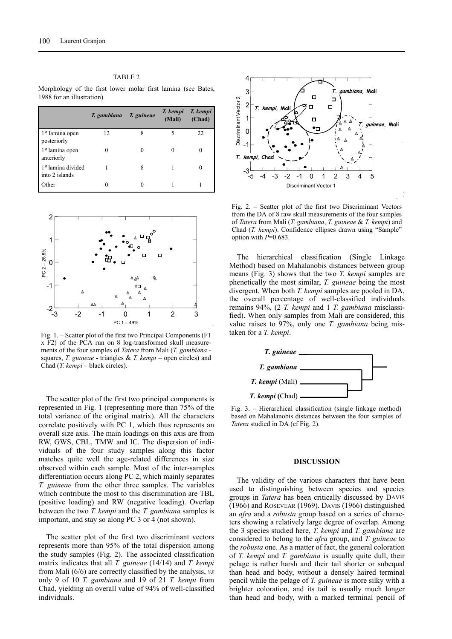|                                                  | T. gambiana | T. guineae | T. kempi<br>(Mali) | T. kempi<br>(Chad) |
|--------------------------------------------------|-------------|------------|--------------------|--------------------|
| 1 <sup>st</sup> lamina open<br>posteriorly       | 12          |            | 5                  | 22                 |
| 1 <sup>st</sup> lamina open<br>anteriorly        |             |            | 0                  | 0                  |
| 1 <sup>st</sup> lamina divided<br>into 2 islands |             |            |                    | 0                  |
| Other                                            |             |            |                    |                    |



Fig. 1. – Scatter plot of the first two Principal Components (F1 x F2) of the PCA run on 8 log-transformed skull measurements of the four samples of *Tatera* from Mali (*T. gambiana*  squares, *T. guineae* - triangles & *T. kempi* – open circles) and Chad (*T. kempi* – black circles).

The scatter plot of the first two principal components is represented in Fig. 1 (representing more than 75% of the total variance of the original matrix). All the characters correlate positively with PC 1, which thus represents an overall size axis. The main loadings on this axis are from RW, GWS, CBL, TMW and IC. The dispersion of individuals of the four study samples along this factor matches quite well the age-related differences in size observed within each sample. Most of the inter-samples differentiation occurs along PC 2, which mainly separates *T. guineae* from the other three samples. The variables which contribute the most to this discrimination are TBL (positive loading) and RW (negative loading). Overlap between the two *T. kempi* and the *T. gambiana* samples is important, and stay so along PC 3 or 4 (not shown).

The scatter plot of the first two discriminant vectors represents more than 95% of the total dispersion among the study samples (Fig. 2). The associated classification matrix indicates that all *T. guineae* (14/14) and *T. kempi* from Mali (6/6) are correctly classified by the analysis, *vs* only 9 of 10 *T. gambiana* and 19 of 21 *T. kempi* from Chad, yielding an overall value of 94% of well-classified individuals.



Fig. 2. – Scatter plot of the first two Discriminant Vectors from the DA of 8 raw skull measurements of the four samples of *Tatera* from Mali (*T. gambiana*, *T. guineae* & *T. kempi*) and Chad (*T. kempi*). Confidence ellipses drawn using "Sample" option with  $P=0.683$ .

The hierarchical classification (Single Linkage Method) based on Mahalanobis distances between group means (Fig. 3) shows that the two *T. kempi* samples are phenetically the most similar, *T. guineae* being the most divergent. When both *T. kempi* samples are pooled in DA, the overall percentage of well-classified individuals remains 94%, (2 *T. kempi* and 1 *T. gambiana* misclassified). When only samples from Mali are considered, this value raises to 97%, only one *T. gambiana* being mistaken for a *T. kempi*.



Fig. 3. – Hierarchical classification (single linkage method) based on Mahalanobis distances between the four samples of *Tatera* studied in DA (cf Fig. 2).

#### **DISCUSSION**

The validity of the various characters that have been used to distinguishing between species and species groups in *Tatera* has been critically discussed by DAVIS (1966) and ROSEVEAR (1969). DAVIS (1966) distinguished an *afra* and a *robusta* group based on a series of characters showing a relatively large degree of overlap. Among the 3 species studied here, *T. kempi* and *T. gambiana* are considered to belong to the *afra* group, and *T. guineae* to the *robusta* one. As a matter of fact, the general coloration of *T. kempi* and *T. gambiana* is usually quite dull, their pelage is rather harsh and their tail shorter or subequal than head and body, without a densely haired terminal pencil while the pelage of *T. guineae* is more silky with a brighter coloration, and its tail is usually much longer than head and body, with a marked terminal pencil of

#### TABLE 2

Morphology of the first lower molar first lamina (see Bates, 1988 for an illustration)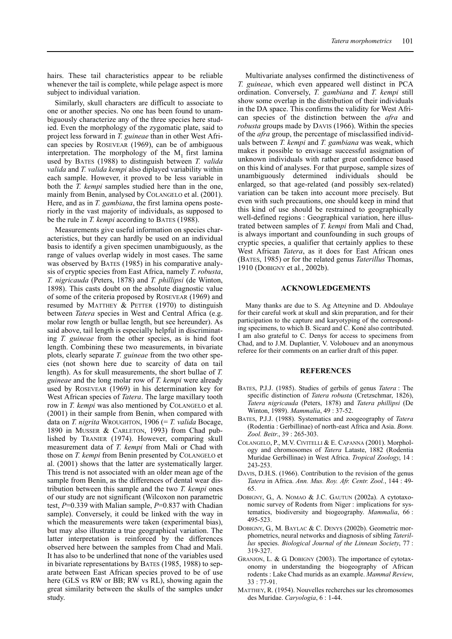hairs. These tail characteristics appear to be reliable whenever the tail is complete, while pelage aspect is more subject to individual variation.

Similarly, skull characters are difficult to associate to one or another species. No one has been found to unambiguously characterize any of the three species here studied. Even the morphology of the zygomatic plate, said to project less forward in *T. guineae* than in other West African species by ROSEVEAR (1969), can be of ambiguous interpretation. The morphology of the  $M_1$  first lamina used by BATES (1988) to distinguish between *T. valida valida* and *T. valida kempi* also diplayed variability within each sample. However, it proved to be less variable in both the *T. kempi* samples studied here than in the one, mainly from Benin, analysed by COLANGELO et al. (2001). Here, and as in *T. gambiana*, the first lamina opens posteriorly in the vast majority of individuals, as supposed to be the rule in *T. kempi* according to BATES (1988).

Measurements give useful information on species characteristics, but they can hardly be used on an individual basis to identify a given specimen unambiguously, as the range of values overlap widely in most cases. The same was observed by BATES (1985) in his comparative analysis of cryptic species from East Africa, namely *T. robusta*, *T. nigricauda* (Peters, 1878) and *T. phillipsi* (de Winton, 1898). This casts doubt on the absolute diagnostic value of some of the criteria proposed by ROSEVEAR (1969) and resumed by MATTHEY & PETTER (1970) to distinguish between *Tatera* species in West and Central Africa (e.g. molar row length or bullae length, but see hereunder). As said above, tail length is especially helpful in discriminating *T. guineae* from the other species, as is hind foot length. Combining these two measurements, in bivariate plots, clearly separate *T. guineae* from the two other species (not shown here due to scarcity of data on tail length). As for skull measurements, the short bullae of *T. guineae* and the long molar row of *T. kempi* were already used by ROSEVEAR (1969) in his determination key for West African species of *Tatera*. The large maxillary tooth row in *T. kempi* was also mentioned by COLANGELO et al. (2001) in their sample from Benin, when compared with data on *T. nigrita* WROUGHTON, 1906 (= *T. valida* Bocage, 1890 in MUSSER & CARLETON, 1993) from Chad published by TRANIER (1974). However, comparing skull measurement data of *T. kempi* from Mali or Chad with those on *T. kempi* from Benin presented by COLANGELO et al. (2001) shows that the latter are systematically larger. This trend is not associated with an older mean age of the sample from Benin, as the differences of dental wear distribution between this sample and the two *T. kempi* ones of our study are not significant (Wilcoxon non parametric test, *P*=0.339 with Malian sample, *P*=0.837 with Chadian sample). Conversely, it could be linked with the way in which the measurements were taken (experimental bias), but may also illustrate a true geographical variation. The latter interpretation is reinforced by the differences observed here between the samples from Chad and Mali. It has also to be underlined that none of the variables used in bivariate representations by BATES (1985, 1988) to separate between East African species proved to be of use here (GLS vs RW or BB; RW vs RL), showing again the great similarity between the skulls of the samples under study.

Multivariate analyses confirmed the distinctiveness of *T. guineae*, which even appeared well distinct in PCA ordination. Conversely, *T. gambiana* and *T. kempi* still show some overlap in the distribution of their individuals in the DA space. This confirms the validity for West African species of the distinction between the *afra* and *robusta* groups made by DAVIS (1966). Within the species of the *afra* group, the percentage of misclassified individuals between *T. kempi* and *T. gambiana* was weak, which makes it possible to envisage successful assignation of unknown individuals with rather great confidence based on this kind of analyses. For that purpose, sample sizes of unambiguously determined individuals should be enlarged, so that age-related (and possibly sex-related) variation can be taken into account more precisely. But even with such precautions, one should keep in mind that this kind of use should be restrained to geographically well-defined regions : Geographical variation, here illustrated between samples of *T. kempi* from Mali and Chad, is always important and counfounding in such groups of cryptic species, a qualifier that certainly applies to these West African *Tatera*, as it does for East African ones (BATES, 1985) or for the related genus *Taterillus* Thomas, 1910 (DOBIGNY et al*.*, 2002b).

### **ACKNOWLEDGEMENTS**

Many thanks are due to S. Ag Atteynine and D. Abdoulaye for their careful work at skull and skin preparation, and for their participation to the capture and karyotyping of the corresponding specimens, to which B. Sicard and C. Koné also contributed. I am also grateful to C. Denys for access to specimens from Chad, and to J.M. Duplantier, V. Volobouev and an anonymous referee for their comments on an earlier draft of this paper.

#### **REFERENCES**

- BATES, P.J.J. (1985). Studies of gerbils of genus *Tatera* : The specific distinction of *Tatera robusta* (Cretzschmar, 1826), *Tatera nigricauda* (Peters, 1878) and *Tatera phillipsi* (De Winton, 1989). *Mammalia*, 49 : 37-52.
- BATES, P.J.J. (1988). Systematics and zoogeography of *Tatera* (Rodentia : Gerbillinae) of north-east Africa and Asia. *Bonn. Zool. Beitr*., 39 : 265-303.
- COLANGELO, P., M.V. CIVITELLI & E. CAPANNA (2001). Morphology and chromosomes of *Tatera* Lataste, 1882 (Rodentia Muridae Gerbillinae) in West Africa. *Tropical Zoology*, 14 : 243-253.
- DAVIS, D.H.S. (1966). Contribution to the revision of the genus *Tatera* in Africa. *Ann. Mus. Roy. Afr. Centr. Zool.*, 144 : 49- 65.
- DOBIGNY, G., A. NOMAO & J.C. GAUTUN (2002a). A cytotaxonomic survey of Rodents from Niger : implications for systematics, biodiversity and biogeography. *Mammalia*, 66 : 495-523.
- DOBIGNY, G., M. BAYLAC & C. DENYS (2002b). Geometric morphometrics, neural networks and diagnosis of sibling *Taterillus* species. *Biological Journal of the Linnean Society*, 77 : 319-327.
- GRANJON, L. & G. DOBIGNY (2003). The importance of cytotaxonomy in understanding the biogeography of African rodents : Lake Chad murids as an example. *Mammal Review*, 33 : 77-91.
- MATTHEY, R. (1954). Nouvelles recherches sur les chromosomes des Muridae. *Caryologia*, 6 : 1-44.